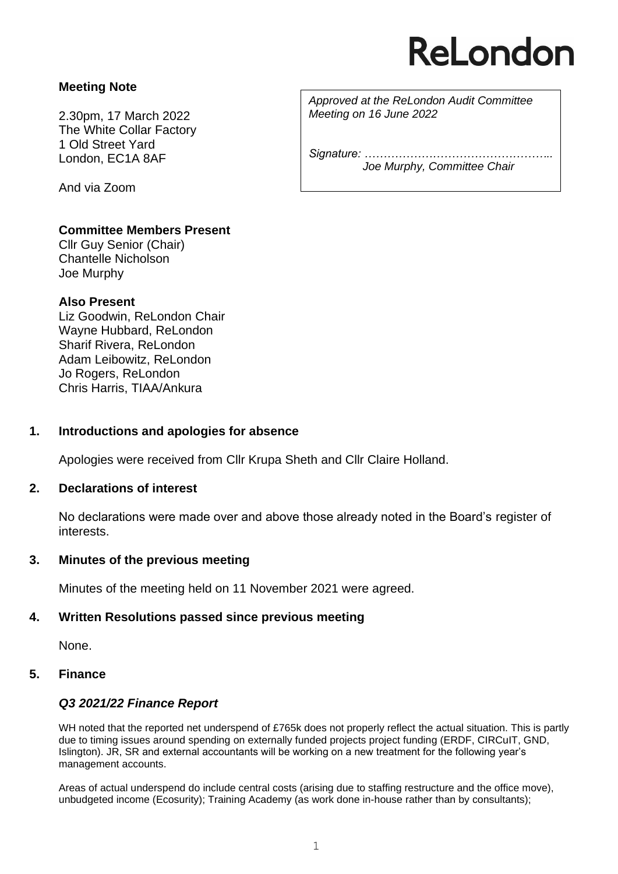# ReLondon

# **Meeting Note**

2.30pm, 17 March 2022 The White Collar Factory 1 Old Street Yard London, EC1A 8AF

And via Zoom

**Committee Members Present**

Cllr Guy Senior (Chair) Chantelle Nicholson Joe Murphy

# **Also Present**

Liz Goodwin, ReLondon Chair Wayne Hubbard, ReLondon Sharif Rivera, ReLondon Adam Leibowitz, ReLondon Jo Rogers, ReLondon Chris Harris, TIAA/Ankura

# **1. Introductions and apologies for absence**

Apologies were received from Cllr Krupa Sheth and Cllr Claire Holland.

# **2. Declarations of interest**

No declarations were made over and above those already noted in the Board's register of interests.

# **3. Minutes of the previous meeting**

Minutes of the meeting held on 11 November 2021 were agreed.

# **4. Written Resolutions passed since previous meeting**

None.

# **5. Finance**

# *Q3 2021/22 Finance Report*

WH noted that the reported net underspend of £765k does not properly reflect the actual situation. This is partly due to timing issues around spending on externally funded projects project funding (ERDF, CIRCuIT, GND, Islington). JR, SR and external accountants will be working on a new treatment for the following year's management accounts.

Areas of actual underspend do include central costs (arising due to staffing restructure and the office move), unbudgeted income (Ecosurity); Training Academy (as work done in-house rather than by consultants);

*Approved at the ReLondon Audit Committee Meeting on 16 June 2022*

*Signature: ………………………………………….. Joe Murphy, Committee Chair*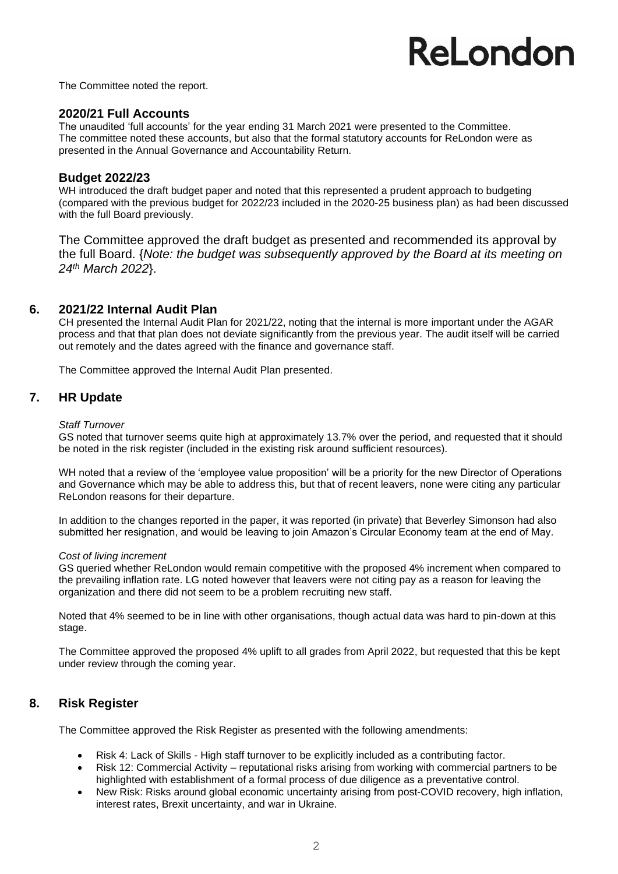# ReLondon

The Committee noted the report.

#### **2020/21 Full Accounts**

The unaudited 'full accounts' for the year ending 31 March 2021 were presented to the Committee. The committee noted these accounts, but also that the formal statutory accounts for ReLondon were as presented in the Annual Governance and Accountability Return*.*

#### **Budget 2022/23**

WH introduced the draft budget paper and noted that this represented a prudent approach to budgeting (compared with the previous budget for 2022/23 included in the 2020-25 business plan) as had been discussed with the full Board previously.

The Committee approved the draft budget as presented and recommended its approval by the full Board. {*Note: the budget was subsequently approved by the Board at its meeting on 24th March 2022*}.

#### **6. 2021/22 Internal Audit Plan**

CH presented the Internal Audit Plan for 2021/22, noting that the internal is more important under the AGAR process and that that plan does not deviate significantly from the previous year. The audit itself will be carried out remotely and the dates agreed with the finance and governance staff.

The Committee approved the Internal Audit Plan presented.

### **7. HR Update**

#### *Staff Turnover*

GS noted that turnover seems quite high at approximately 13.7% over the period, and requested that it should be noted in the risk register (included in the existing risk around sufficient resources).

WH noted that a review of the 'employee value proposition' will be a priority for the new Director of Operations and Governance which may be able to address this, but that of recent leavers, none were citing any particular ReLondon reasons for their departure.

In addition to the changes reported in the paper, it was reported (in private) that Beverley Simonson had also submitted her resignation, and would be leaving to join Amazon's Circular Economy team at the end of May.

#### *Cost of living increment*

GS queried whether ReLondon would remain competitive with the proposed 4% increment when compared to the prevailing inflation rate. LG noted however that leavers were not citing pay as a reason for leaving the organization and there did not seem to be a problem recruiting new staff.

Noted that 4% seemed to be in line with other organisations, though actual data was hard to pin-down at this stage.

The Committee approved the proposed 4% uplift to all grades from April 2022, but requested that this be kept under review through the coming year.

# **8. Risk Register**

The Committee approved the Risk Register as presented with the following amendments:

- Risk 4: Lack of Skills High staff turnover to be explicitly included as a contributing factor.
- Risk 12: Commercial Activity reputational risks arising from working with commercial partners to be highlighted with establishment of a formal process of due diligence as a preventative control.
- New Risk: Risks around global economic uncertainty arising from post-COVID recovery, high inflation, interest rates, Brexit uncertainty, and war in Ukraine.